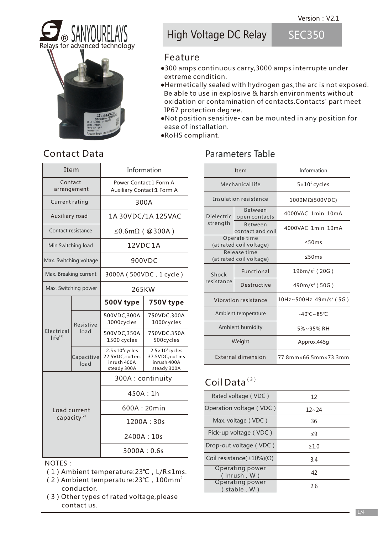#### Version: V2.1





# High Voltage DC Relay

**SEC350** 

### Feature

- ●300 amps continuous carry,3000 amps interrupte under extreme condition.
- ●Hermetically sealed with hydrogen gas,the arc is not exposed. Be able to use in explosive & harsh environments without oxidation or contamination of contacts.Contacts' part meet IP67 protection degree.
- ●Not position sensitive- can be mounted in any position for ease of installation.
- ●RoHS compliant.

## Contact Data

| Item                                    |                    | Information                                                                                                                                |                           |  | Item                                    |                                      | Information                       |
|-----------------------------------------|--------------------|--------------------------------------------------------------------------------------------------------------------------------------------|---------------------------|--|-----------------------------------------|--------------------------------------|-----------------------------------|
| Contact<br>arrangement                  |                    | Power Contact:1 Form A<br>Auxiliary Contact:1 Form A                                                                                       |                           |  | Mechanical life                         |                                      | $5 \times 10^5$ cycle             |
| Current rating                          |                    | 300A                                                                                                                                       |                           |  | Insulation resistance                   |                                      | 1000MQ(500V                       |
| Auxiliary road                          |                    | 1A 30VDC/1A 125VAC                                                                                                                         |                           |  | Dielectric<br>strength                  | <b>Between</b><br>open contacts      | 4000VAC 1min                      |
| Contact resistance                      |                    | $\leq$ 0.6m $\Omega$ (@300A)                                                                                                               |                           |  |                                         | <b>Between</b><br>contact and coil   | 4000VAC 1min                      |
| Min.Switching load                      |                    | 12VDC1A                                                                                                                                    |                           |  | Operate time<br>(at rated coil voltage) |                                      | $\leq$ 50ms                       |
| Max. Switching voltage                  |                    | 900VDC                                                                                                                                     |                           |  | Release time<br>(at rated coil voltage) |                                      | $\leq$ 50ms                       |
| Max. Breaking current                   |                    | 3000A (500VDC, 1 cycle)                                                                                                                    |                           |  | Shock<br>resistance                     | Functional                           | $196m/s^2$ (20                    |
| Max. Switching power                    |                    | 265KW                                                                                                                                      |                           |  |                                         | Destructive                          | 490m/s <sup>2</sup> (50           |
| Electrical<br>$life^{(1)}$              |                    | 500V type                                                                                                                                  | 750V type                 |  | Vibration resistance                    |                                      | 10Hz~500Hz 49m                    |
|                                         | Resistive<br>load  | 500VDC,300A                                                                                                                                | 750VDC,300A               |  | Ambient temperature                     |                                      | $-40^{\circ}$ C ~ 85 $^{\circ}$ C |
|                                         |                    | 3000cycles<br>500VDC,350A                                                                                                                  | 1000cycles<br>750VDC,350A |  | Ambient humidity                        |                                      | 5%~95% RI                         |
|                                         |                    | 1500 cycles                                                                                                                                | 500cycles                 |  | Weight                                  |                                      | Approx.445                        |
|                                         | Capacitive<br>load | $2.5 \times 10^4$ cycles<br>$2.5 \times 10^{4}$ cycles<br>$22.5VDC$ , $\tau$ =1ms<br>$37.5VDC$ , $\tau$ =1ms<br>inrush 400A<br>inrush 400A |                           |  | <b>External dimension</b>               |                                      | 77.8mm×66.5mm×                    |
| Load current<br>capacity <sup>(2)</sup> |                    | steady 300A<br>steady 300A<br>300A: continuity                                                                                             |                           |  | CoilData <sup>(3)</sup>                 |                                      |                                   |
|                                         |                    | 450A:1h                                                                                                                                    |                           |  | Rated voltage (VDC)                     |                                      | 12                                |
|                                         |                    | 600A: 20min                                                                                                                                |                           |  | Operation voltage (VDC)                 |                                      | $12 - 24$                         |
|                                         |                    | 1200A: 30s                                                                                                                                 |                           |  | Max. voltage (VDC)                      |                                      | 36                                |
|                                         |                    | 2400A: 10s                                                                                                                                 |                           |  | Pick-up voltage (VDC)                   |                                      | $\leq 9$                          |
|                                         |                    | 3000A:0.6s                                                                                                                                 |                           |  | Drop-out voltage (VDC)                  |                                      | $\geq 1.0$                        |
|                                         |                    |                                                                                                                                            |                           |  |                                         | Coil resistance $(\pm 10\%)(\Omega)$ | 34                                |

#### NOTES:

- (1)Ambient temperature:23℃,L/R≤1ms.
- ( <sup>2</sup> 2)Ambient temperature:23℃,100mm conductor.
- (3)Other types of rated voltage,please contact us.

### Parameters Table

|            | Item                                    | Information                           |  |  |  |
|------------|-----------------------------------------|---------------------------------------|--|--|--|
|            | Mechanical life                         | $5 \times 10^5$ cycles                |  |  |  |
|            | Insulation resistance                   | 1000MΩ(500VDC)                        |  |  |  |
| Dielectric | <b>Between</b><br>open contacts         | 4000VAC 1min 10mA                     |  |  |  |
| strength   | <b>Between</b><br>contact and coil      | 4000VAC 1min 10mA                     |  |  |  |
|            | Operate time<br>(at rated coil voltage) | $\leq$ 50ms                           |  |  |  |
|            | Release time<br>(at rated coil voltage) | $\leq$ 50ms                           |  |  |  |
| Shock      | Functional                              | $196m/s2$ (20G)                       |  |  |  |
| resistance | Destructive                             | $490m/s2$ (50G)                       |  |  |  |
|            | Vibration resistance                    | $10$ Hz~500Hz 49m/s <sup>2</sup> (5G) |  |  |  |
|            | Ambient temperature                     | $-40^{\circ}$ C ~ 85 $^{\circ}$ C     |  |  |  |
|            | Ambient humidity                        | 5%~95% RH                             |  |  |  |
|            | Weight                                  | Approx.445q                           |  |  |  |
|            | External dimension                      | 77.8mm×66.5mm×73.3mm                  |  |  |  |

## $CoilData<sup>(3)</sup>$

| Rated voltage (VDC)                     | 12         |
|-----------------------------------------|------------|
| Operation voltage (VDC)                 | $12 - 24$  |
| Max. voltage (VDC)                      | 36         |
| Pick-up voltage (VDC)                   | $\leq 9$   |
| Drop-out voltage (VDC)                  | $\geq 1.0$ |
| Coil resistance( $\pm$ 10%)( $\Omega$ ) | 3.4        |
| Operating power<br>$($ inrush, $W)$     | 42         |
| <b>Operating power</b><br>(stable, W)   | 2.6        |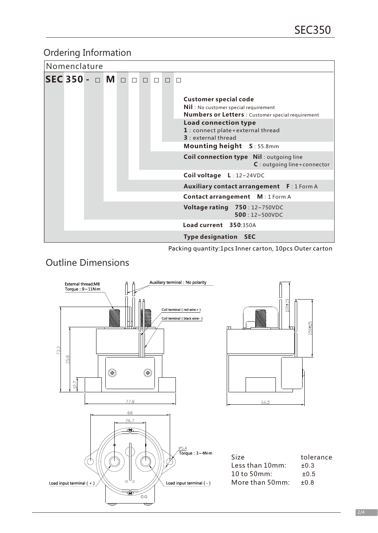### Ordering Information



Packing quantity:1pcs Inner carton, 10pcs Outer carton

## Outline Dimensions

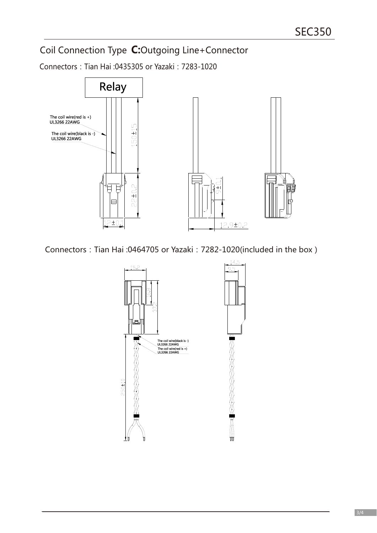# Coil Connection Type **C:**Outgoing Line+Connector

Connectors:Tian Hai :0435305 or Yazaki:7283-1020



Connectors: Tian Hai: 0464705 or Yazaki: 7282-1020(included in the box)